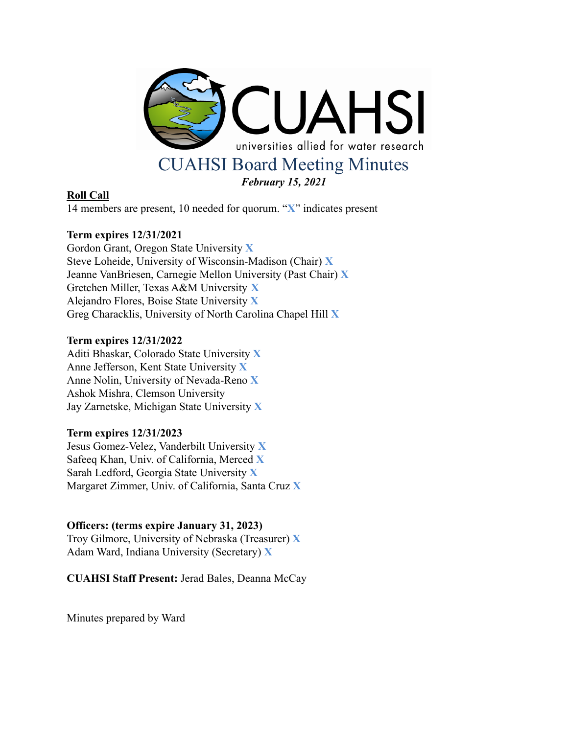

# **Roll Call**

14 members are present, 10 needed for quorum. "**X**" indicates present

# **Term expires 12/31/2021**

Gordon Grant, Oregon State University **X** Steve Loheide, University of Wisconsin-Madison (Chair) **X** Jeanne VanBriesen, Carnegie Mellon University (Past Chair) **X** Gretchen Miller, Texas A&M University **X** Alejandro Flores, Boise State University **X** Greg Characklis, University of North Carolina Chapel Hill **X**

#### **Term expires 12/31/2022**

Aditi Bhaskar, Colorado State University **X** Anne Jefferson, Kent State University **X** Anne Nolin, University of Nevada-Reno **X** Ashok Mishra, Clemson University Jay Zarnetske, Michigan State University **X**

#### **Term expires 12/31/2023**

Jesus Gomez-Velez, Vanderbilt University **X** Safeeq Khan, Univ. of California, Merced **X** Sarah Ledford, Georgia State University **X** Margaret Zimmer, Univ. of California, Santa Cruz **X**

# **Officers: (terms expire January 31, 2023)**

Troy Gilmore, University of Nebraska (Treasurer) **X** Adam Ward, Indiana University (Secretary) **X**

**CUAHSI Staff Present:** Jerad Bales, Deanna McCay

Minutes prepared by Ward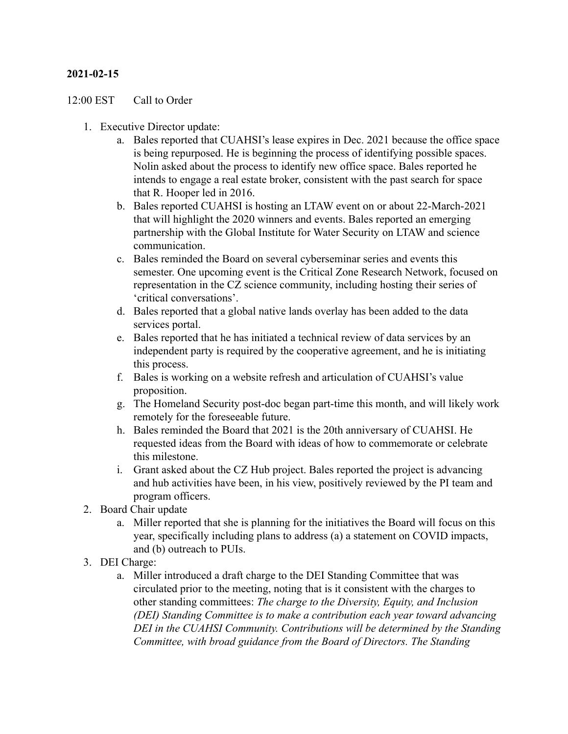# **2021-02-15**

#### 12:00 EST Call to Order

- 1. Executive Director update:
	- a. Bales reported that CUAHSI's lease expires in Dec. 2021 because the office space is being repurposed. He is beginning the process of identifying possible spaces. Nolin asked about the process to identify new office space. Bales reported he intends to engage a real estate broker, consistent with the past search for space that R. Hooper led in 2016.
	- b. Bales reported CUAHSI is hosting an LTAW event on or about 22-March-2021 that will highlight the 2020 winners and events. Bales reported an emerging partnership with the Global Institute for Water Security on LTAW and science communication.
	- c. Bales reminded the Board on several cyberseminar series and events this semester. One upcoming event is the Critical Zone Research Network, focused on representation in the CZ science community, including hosting their series of 'critical conversations'.
	- d. Bales reported that a global native lands overlay has been added to the data services portal.
	- e. Bales reported that he has initiated a technical review of data services by an independent party is required by the cooperative agreement, and he is initiating this process.
	- f. Bales is working on a website refresh and articulation of CUAHSI's value proposition.
	- g. The Homeland Security post-doc began part-time this month, and will likely work remotely for the foreseeable future.
	- h. Bales reminded the Board that 2021 is the 20th anniversary of CUAHSI. He requested ideas from the Board with ideas of how to commemorate or celebrate this milestone.
	- i. Grant asked about the CZ Hub project. Bales reported the project is advancing and hub activities have been, in his view, positively reviewed by the PI team and program officers.
- 2. Board Chair update
	- a. Miller reported that she is planning for the initiatives the Board will focus on this year, specifically including plans to address (a) a statement on COVID impacts, and (b) outreach to PUIs.
- 3. DEI Charge:
	- a. Miller introduced a draft charge to the DEI Standing Committee that was circulated prior to the meeting, noting that is it consistent with the charges to other standing committees: *The charge to the Diversity, Equity, and Inclusion (DEI) Standing Committee is to make a contribution each year toward advancing DEI in the CUAHSI Community. Contributions will be determined by the Standing Committee, with broad guidance from the Board of Directors. The Standing*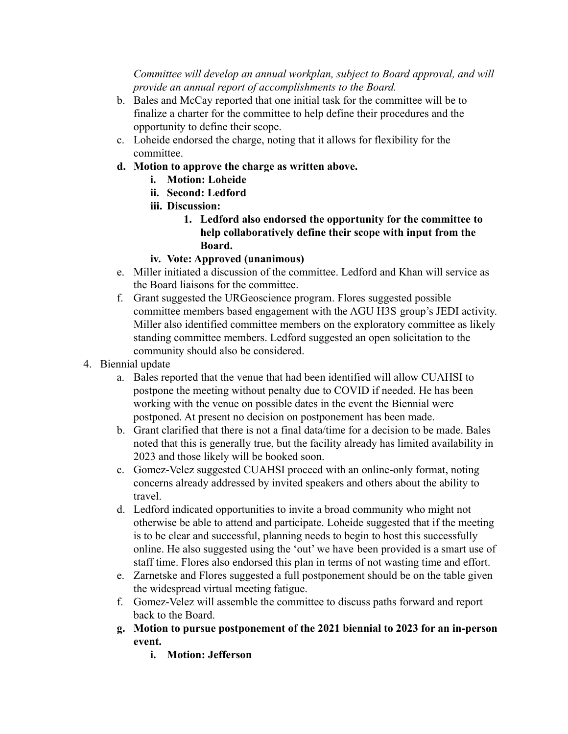*Committee will develop an annual workplan, subject to Board approval, and will provide an annual report of accomplishments to the Board.*

- b. Bales and McCay reported that one initial task for the committee will be to finalize a charter for the committee to help define their procedures and the opportunity to define their scope.
- c. Loheide endorsed the charge, noting that it allows for flexibility for the committee.
- **d. Motion to approve the charge as written above.**
	- **i. Motion: Loheide**
	- **ii. Second: Ledford**
	- **iii. Discussion:**
		- **1. Ledford also endorsed the opportunity for the committee to help collaboratively define their scope with input from the Board.**
	- **iv. Vote: Approved (unanimous)**
- e. Miller initiated a discussion of the committee. Ledford and Khan will service as the Board liaisons for the committee.
- f. Grant suggested the URGeoscience program. Flores suggested possible committee members based engagement with the AGU H3S group's JEDI activity. Miller also identified committee members on the exploratory committee as likely standing committee members. Ledford suggested an open solicitation to the community should also be considered.
- 4. Biennial update
	- a. Bales reported that the venue that had been identified will allow CUAHSI to postpone the meeting without penalty due to COVID if needed. He has been working with the venue on possible dates in the event the Biennial were postponed. At present no decision on postponement has been made.
	- b. Grant clarified that there is not a final data/time for a decision to be made. Bales noted that this is generally true, but the facility already has limited availability in 2023 and those likely will be booked soon.
	- c. Gomez-Velez suggested CUAHSI proceed with an online-only format, noting concerns already addressed by invited speakers and others about the ability to travel.
	- d. Ledford indicated opportunities to invite a broad community who might not otherwise be able to attend and participate. Loheide suggested that if the meeting is to be clear and successful, planning needs to begin to host this successfully online. He also suggested using the 'out' we have been provided is a smart use of staff time. Flores also endorsed this plan in terms of not wasting time and effort.
	- e. Zarnetske and Flores suggested a full postponement should be on the table given the widespread virtual meeting fatigue.
	- f. Gomez-Velez will assemble the committee to discuss paths forward and report back to the Board.
	- **g. Motion to pursue postponement of the 2021 biennial to 2023 for an in-person event.**
		- **i. Motion: Jefferson**